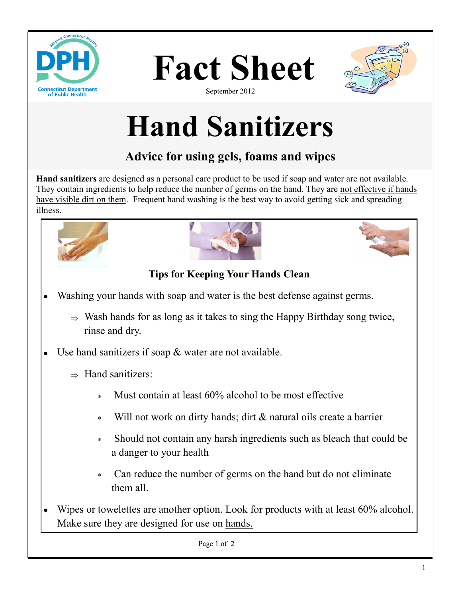





September 2012

# **Hand Sanitizers**

# **Advice for using gels, foams and wipes**

**Hand sanitizers** are designed as a personal care product to be used if soap and water are not available. They contain ingredients to help reduce the number of germs on the hand. They are not effective if hands have visible dirt on them. Frequent hand washing is the best way to avoid getting sick and spreading illness.







## **Tips for Keeping Your Hands Clean**

- Washing your hands with soap and water is the best defense against germs.
	- $\Rightarrow$  Wash hands for as long as it takes to sing the Happy Birthday song twice, rinse and dry.
- Use hand sanitizers if soap & water are not available.  $\bullet$ 
	- $\Rightarrow$  Hand sanitizers:
		- Must contain at least 60% alcohol to be most effective
		- Will not work on dirty hands; dirt & natural oils create a barrier  $\star$
		- $\ast$ Should not contain any harsh ingredients such as bleach that could be a danger to your health
		- Can reduce the number of germs on the hand but do not eliminate  $\ast$ them all.
- Wipes or towelettes are another option. Look for products with at least 60% alcohol. Make sure they are designed for use on hands.